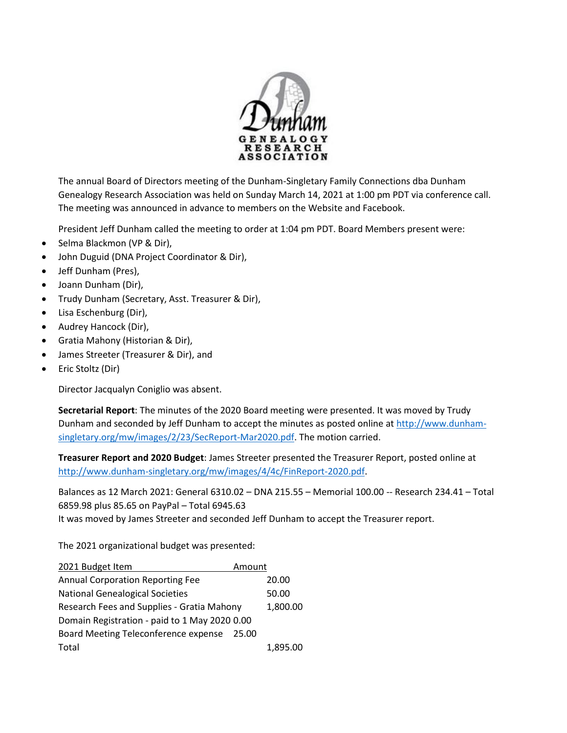

The annual Board of Directors meeting of the Dunham-Singletary Family Connections dba Dunham Genealogy Research Association was held on Sunday March 14, 2021 at 1:00 pm PDT via conference call. The meeting was announced in advance to members on the Website and Facebook.

President Jeff Dunham called the meeting to order at 1:04 pm PDT. Board Members present were:

- Selma Blackmon (VP & Dir),
- John Duguid (DNA Project Coordinator & Dir),
- Jeff Dunham (Pres),
- Joann Dunham (Dir),
- Trudy Dunham (Secretary, Asst. Treasurer & Dir),
- Lisa Eschenburg (Dir),
- Audrey Hancock (Dir),
- Gratia Mahony (Historian & Dir),
- James Streeter (Treasurer & Dir), and
- Eric Stoltz (Dir)

Director Jacqualyn Coniglio was absent.

**Secretarial Report**: The minutes of the 2020 Board meeting were presented. It was moved by Trudy Dunham and seconded by Jeff Dunham to accept the minutes as posted online at [http://www.dunham](http://www.dunham-singletary.org/mw/images/2/23/SecReport-Mar2020.pdf)[singletary.org/mw/images/2/23/SecReport-Mar2020.pdf.](http://www.dunham-singletary.org/mw/images/2/23/SecReport-Mar2020.pdf) The motion carried.

**Treasurer Report and 2020 Budget**: James Streeter presented the Treasurer Report, posted online at [http://www.dunham-singletary.org/mw/images/4/4c/FinReport-2020.pdf.](http://www.dunham-singletary.org/mw/images/4/4c/FinReport-2020.pdf)

Balances as 12 March 2021: General 6310.02 – DNA 215.55 – Memorial 100.00 -- Research 234.41 – Total 6859.98 plus 85.65 on PayPal – Total 6945.63 It was moved by James Streeter and seconded Jeff Dunham to accept the Treasurer report.

The 2021 organizational budget was presented:

| 2021 Budget Item                              | Amount |          |
|-----------------------------------------------|--------|----------|
| <b>Annual Corporation Reporting Fee</b>       |        | 20.00    |
| <b>National Genealogical Societies</b>        |        | 50.00    |
| Research Fees and Supplies - Gratia Mahony    |        | 1,800.00 |
| Domain Registration - paid to 1 May 2020 0.00 |        |          |
| Board Meeting Teleconference expense          | 25.00  |          |
| Total                                         |        | 1.895.00 |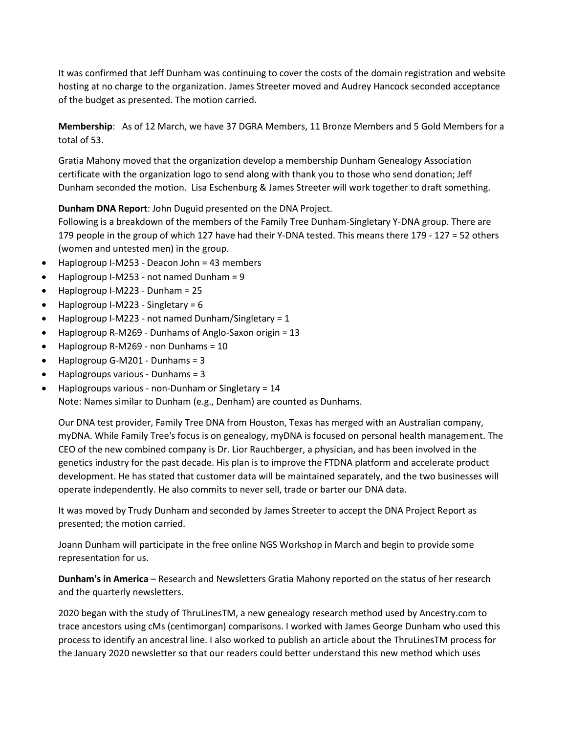It was confirmed that Jeff Dunham was continuing to cover the costs of the domain registration and website hosting at no charge to the organization. James Streeter moved and Audrey Hancock seconded acceptance of the budget as presented. The motion carried.

**Membership**: As of 12 March, we have 37 DGRA Members, 11 Bronze Members and 5 Gold Members for a total of 53.

Gratia Mahony moved that the organization develop a membership Dunham Genealogy Association certificate with the organization logo to send along with thank you to those who send donation; Jeff Dunham seconded the motion. Lisa Eschenburg & James Streeter will work together to draft something.

**Dunham DNA Report**: John Duguid presented on the DNA Project.

Following is a breakdown of the members of the Family Tree Dunham-Singletary Y-DNA group. There are 179 people in the group of which 127 have had their Y-DNA tested. This means there 179 - 127 = 52 others (women and untested men) in the group.

- Haplogroup I-M253 Deacon John = 43 members
- Haplogroup I-M253 not named Dunham = 9
- Haplogroup I-M223 Dunham = 25
- Haplogroup I-M223 Singletary = 6
- Haplogroup I-M223 not named Dunham/Singletary = 1
- Haplogroup R-M269 Dunhams of Anglo-Saxon origin = 13
- Haplogroup R-M269 non Dunhams = 10
- Haplogroup G-M201 Dunhams = 3
- Haplogroups various Dunhams = 3
- Haplogroups various non-Dunham or Singletary = 14

Note: Names similar to Dunham (e.g., Denham) are counted as Dunhams.

Our DNA test provider, Family Tree DNA from Houston, Texas has merged with an Australian company, myDNA. While Family Tree's focus is on genealogy, myDNA is focused on personal health management. The CEO of the new combined company is Dr. Lior Rauchberger, a physician, and has been involved in the genetics industry for the past decade. His plan is to improve the FTDNA platform and accelerate product development. He has stated that customer data will be maintained separately, and the two businesses will operate independently. He also commits to never sell, trade or barter our DNA data.

It was moved by Trudy Dunham and seconded by James Streeter to accept the DNA Project Report as presented; the motion carried.

Joann Dunham will participate in the free online NGS Workshop in March and begin to provide some representation for us.

**Dunham's in America** – Research and Newsletters Gratia Mahony reported on the status of her research and the quarterly newsletters.

2020 began with the study of ThruLinesTM, a new genealogy research method used by Ancestry.com to trace ancestors using cMs (centimorgan) comparisons. I worked with James George Dunham who used this process to identify an ancestral line. I also worked to publish an article about the ThruLinesTM process for the January 2020 newsletter so that our readers could better understand this new method which uses